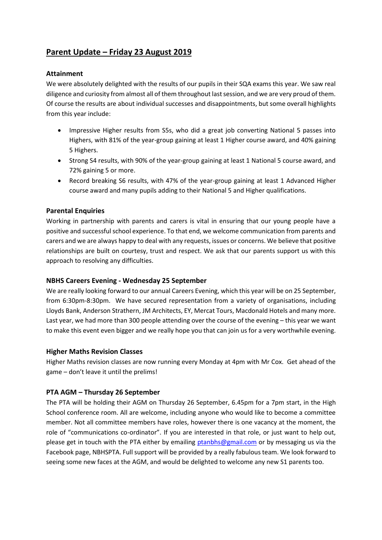# **Parent Update – Friday 23 August 2019**

## **Attainment**

We were absolutely delighted with the results of our pupils in their SQA exams this year. We saw real diligence and curiosity from almost all of them throughout last session, and we are very proud of them. Of course the results are about individual successes and disappointments, but some overall highlights from this year include:

- Impressive Higher results from S5s, who did a great job converting National 5 passes into Highers, with 81% of the year-group gaining at least 1 Higher course award, and 40% gaining 5 Highers.
- Strong S4 results, with 90% of the year-group gaining at least 1 National 5 course award, and 72% gaining 5 or more.
- Record breaking S6 results, with 47% of the year-group gaining at least 1 Advanced Higher course award and many pupils adding to their National 5 and Higher qualifications.

#### **Parental Enquiries**

Working in partnership with parents and carers is vital in ensuring that our young people have a positive and successful school experience. To that end, we welcome communication from parents and carers and we are always happy to deal with any requests, issues or concerns. We believe that positive relationships are built on courtesy, trust and respect. We ask that our parents support us with this approach to resolving any difficulties.

#### **NBHS Careers Evening - Wednesday 25 September**

We are really looking forward to our annual Careers Evening, which this year will be on 25 September, from 6:30pm-8:30pm. We have secured representation from a variety of organisations, including Lloyds Bank, Anderson Strathern, JM Architects, EY, Mercat Tours, Macdonald Hotels and many more. Last year, we had more than 300 people attending over the course of the evening – this year we want to make this event even bigger and we really hope you that can join us for a very worthwhile evening.

#### **Higher Maths Revision Classes**

Higher Maths revision classes are now running every Monday at 4pm with Mr Cox. Get ahead of the game – don't leave it until the prelims!

#### **PTA AGM – Thursday 26 September**

The PTA will be holding their AGM on Thursday 26 September, 6.45pm for a 7pm start, in the High School conference room. All are welcome, including anyone who would like to become a committee member. Not all committee members have roles, however there is one vacancy at the moment, the role of "communications co-ordinator". If you are interested in that role, or just want to help out, please get in touch with the PTA either by emailing [ptanbhs@gmail.com](mailto:ptanbhs@gmail.com) or by messaging us via the Facebook page, NBHSPTA. Full support will be provided by a really fabulous team. We look forward to seeing some new faces at the AGM, and would be delighted to welcome any new S1 parents too.